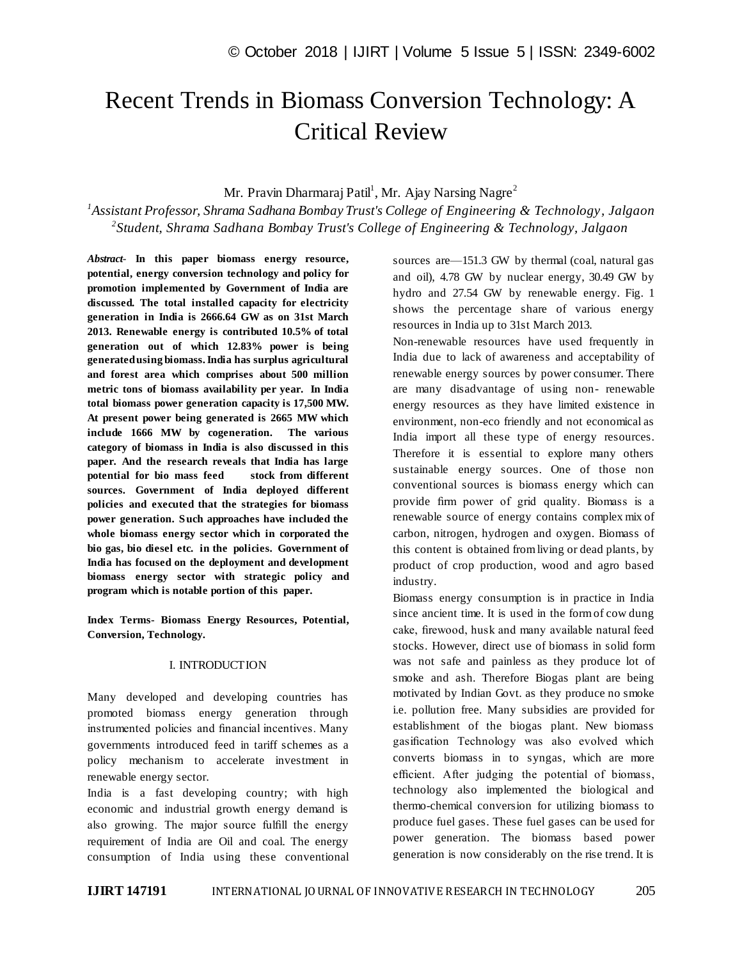# Recent Trends in Biomass Conversion Technology: A Critical Review

# Mr. Pravin Dharmaraj Patil $^1$ , Mr. Ajay Narsing Nagre $^2$

*1 Assistant Professor, Shrama Sadhana Bombay Trust's College of Engineering & Technology, Jalgaon 2 Student, Shrama Sadhana Bombay Trust's College of Engineering & Technology, Jalgaon*

*Abstract*- **In this paper biomass energy resource, potential, energy conversion technology and policy for promotion implemented by Government of India are discussed. The total installed capacity for electricity generation in India is 2666.64 GW as on 31st March 2013. Renewable energy is contributed 10.5% of total generation out of which 12.83% power is being generated using biomass. India has surplus agricultural and forest area which comprises about 500 million metric tons of biomass availability per year. In India total biomass power generation capacity is 17,500 MW. At present power being generated is 2665 MW which include 1666 MW by cogeneration. The various category of biomass in India is also discussed in this paper. And the research reveals that India has large potential for bio mass feed stock from different sources. Government of India deployed different policies and executed that the strategies for biomass power generation. Such approaches have included the whole biomass energy sector which in corporated the bio gas, bio diesel etc. in the policies. Government of India has focused on the deployment and development biomass energy sector with strategic policy and program which is notable portion of this paper.**

**Index Terms- Biomass Energy Resources, Potential, Conversion, Technology.**

#### I. INTRODUCTION

Many developed and developing countries has promoted biomass energy generation through instrumented policies and financial incentives. Many governments introduced feed in tariff schemes as a policy mechanism to accelerate investment in renewable energy sector.

India is a fast developing country; with high economic and industrial growth energy demand is also growing. The major source fulfill the energy requirement of India are Oil and coal. The energy consumption of India using these conventional sources are—151.3 GW by thermal (coal, natural gas and oil), 4.78 GW by nuclear energy, 30.49 GW by hydro and 27.54 GW by renewable energy. Fig. 1 shows the percentage share of various energy resources in India up to 31st March 2013.

Non-renewable resources have used frequently in India due to lack of awareness and acceptability of renewable energy sources by power consumer. There are many disadvantage of using non- renewable energy resources as they have limited existence in environment, non-eco friendly and not economical as India import all these type of energy resources. Therefore it is essential to explore many others sustainable energy sources. One of those non conventional sources is biomass energy which can provide firm power of grid quality. Biomass is a renewable source of energy contains complex mix of carbon, nitrogen, hydrogen and oxygen. Biomass of this content is obtained from living or dead plants, by product of crop production, wood and agro based industry.

Biomass energy consumption is in practice in India since ancient time. It is used in the form of cow dung cake, firewood, husk and many available natural feed stocks. However, direct use of biomass in solid form was not safe and painless as they produce lot of smoke and ash. Therefore Biogas plant are being motivated by Indian Govt. as they produce no smoke i.e. pollution free. Many subsidies are provided for establishment of the biogas plant. New biomass gasification Technology was also evolved which converts biomass in to syngas, which are more efficient. After judging the potential of biomass, technology also implemented the biological and thermo-chemical conversion for utilizing biomass to produce fuel gases. These fuel gases can be used for power generation. The biomass based power generation is now considerably on the rise trend. It is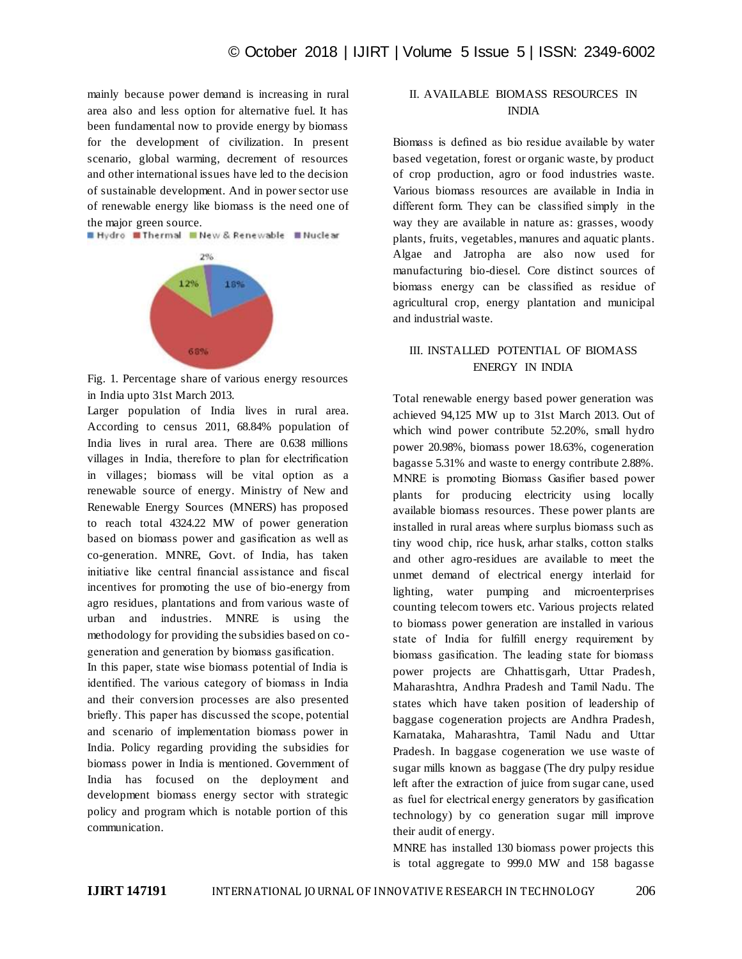mainly because power demand is increasing in rural area also and less option for alternative fuel. It has been fundamental now to provide energy by biomass for the development of civilization. In present scenario, global warming, decrement of resources and other international issues have led to the decision of sustainable development. And in power sector use of renewable energy like biomass is the need one of the major green source.

Hydro **E** Thermal New & Renewable **E Nuclear** 



Fig. 1. Percentage share of various energy resources in India upto 31st March 2013.

Larger population of India lives in rural area. According to census 2011, 68.84% population of India lives in rural area. There are 0.638 millions villages in India, therefore to plan for electrification in villages; biomass will be vital option as a renewable source of energy. Ministry of New and Renewable Energy Sources (MNERS) has proposed to reach total 4324.22 MW of power generation based on biomass power and gasification as well as co-generation. MNRE, Govt. of India, has taken initiative like central financial assistance and fiscal incentives for promoting the use of bio-energy from agro residues, plantations and from various waste of urban and industries. MNRE is using the methodology for providing the subsidies based on cogeneration and generation by biomass gasification.

In this paper, state wise biomass potential of India is identified. The various category of biomass in India and their conversion processes are also presented briefly. This paper has discussed the scope, potential and scenario of implementation biomass power in India. Policy regarding providing the subsidies for biomass power in India is mentioned. Government of India has focused on the deployment and development biomass energy sector with strategic policy and program which is notable portion of this communication.

# II. AVAILABLE BIOMASS RESOURCES IN INDIA

Biomass is defined as bio residue available by water based vegetation, forest or organic waste, by product of crop production, agro or food industries waste. Various biomass resources are available in India in different form. They can be classified simply in the way they are available in nature as: grasses, woody plants, fruits, vegetables, manures and aquatic plants. Algae and Jatropha are also now used for manufacturing bio-diesel. Core distinct sources of biomass energy can be classified as residue of agricultural crop, energy plantation and municipal and industrial waste.

## III. INSTALLED POTENTIAL OF BIOMASS ENERGY IN INDIA

Total renewable energy based power generation was achieved 94,125 MW up to 31st March 2013. Out of which wind power contribute 52.20%, small hydro power 20.98%, biomass power 18.63%, cogeneration bagasse 5.31% and waste to energy contribute 2.88%. MNRE is promoting Biomass Gasifier based power plants for producing electricity using locally available biomass resources. These power plants are installed in rural areas where surplus biomass such as tiny wood chip, rice husk, arhar stalks, cotton stalks and other agro-residues are available to meet the unmet demand of electrical energy interlaid for lighting, water pumping and microenterprises counting telecom towers etc. Various projects related to biomass power generation are installed in various state of India for fulfill energy requirement by biomass gasification. The leading state for biomass power projects are Chhattisgarh, Uttar Pradesh, Maharashtra, Andhra Pradesh and Tamil Nadu. The states which have taken position of leadership of baggase cogeneration projects are Andhra Pradesh, Karnataka, Maharashtra, Tamil Nadu and Uttar Pradesh. In baggase cogeneration we use waste of sugar mills known as baggase (The dry pulpy residue left after the extraction of juice from sugar cane, used as fuel for electrical energy generators by gasification technology) by co generation sugar mill improve their audit of energy.

MNRE has installed 130 biomass power projects this is total aggregate to 999.0 MW and 158 bagasse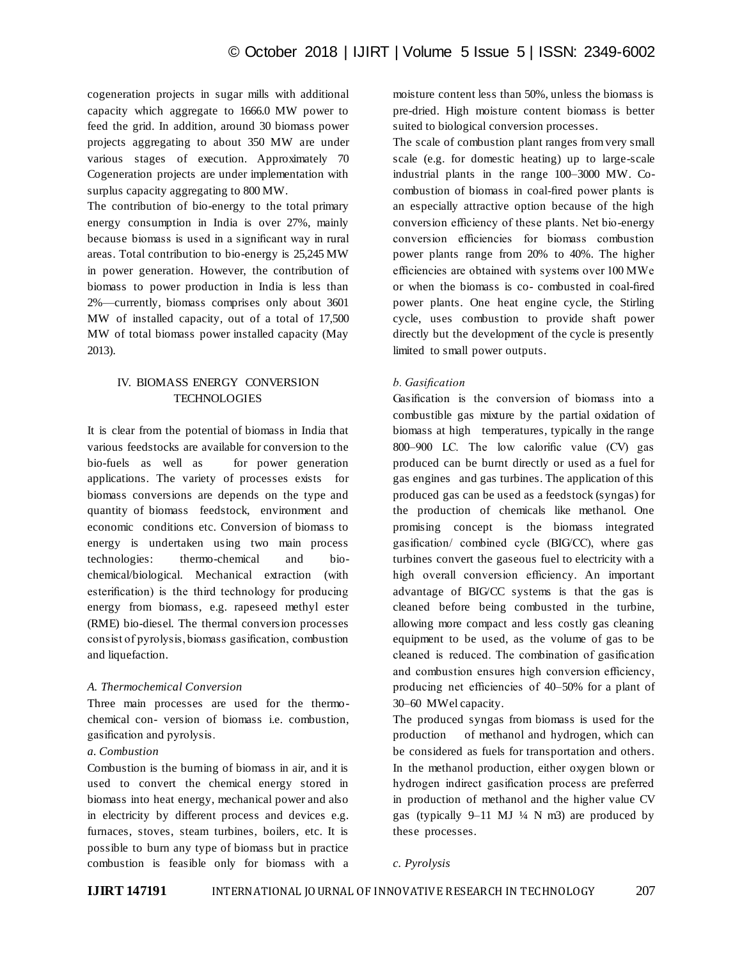cogeneration projects in sugar mills with additional capacity which aggregate to 1666.0 MW power to feed the grid. In addition, around 30 biomass power projects aggregating to about 350 MW are under various stages of execution. Approximately 70 Cogeneration projects are under implementation with surplus capacity aggregating to 800 MW.

The contribution of bio-energy to the total primary energy consumption in India is over 27%, mainly because biomass is used in a significant way in rural areas. Total contribution to bio-energy is 25,245 MW in power generation. However, the contribution of biomass to power production in India is less than 2%—currently, biomass comprises only about 3601 MW of installed capacity, out of a total of 17,500 MW of total biomass power installed capacity (May 2013).

# IV. BIOMASS ENERGY CONVERSION **TECHNOLOGIES**

It is clear from the potential of biomass in India that various feedstocks are available for conversion to the bio-fuels as well as for power generation applications. The variety of processes exists for biomass conversions are depends on the type and quantity of biomass feedstock, environment and economic conditions etc. Conversion of biomass to energy is undertaken using two main process technologies: thermo-chemical and biochemical/biological. Mechanical extraction (with esterification) is the third technology for producing energy from biomass, e.g. rapeseed methyl ester (RME) bio-diesel. The thermal conversion processes consist of pyrolysis, biomass gasification, combustion and liquefaction.

## *A. Thermochemical Conversion*

Three main processes are used for the thermochemical con- version of biomass i.e. combustion, gasification and pyrolysis.

## *a. Combustion*

Combustion is the burning of biomass in air, and it is used to convert the chemical energy stored in biomass into heat energy, mechanical power and also in electricity by different process and devices e.g. furnaces, stoves, steam turbines, boilers, etc. It is possible to burn any type of biomass but in practice combustion is feasible only for biomass with a moisture content less than 50%, unless the biomass is pre-dried. High moisture content biomass is better suited to biological conversion processes.

The scale of combustion plant ranges from very small scale (e.g. for domestic heating) up to large-scale industrial plants in the range 100–3000 MW. Cocombustion of biomass in coal-fired power plants is an especially attractive option because of the high conversion efficiency of these plants. Net bio-energy conversion efficiencies for biomass combustion power plants range from 20% to 40%. The higher efficiencies are obtained with systems over 100 MWe or when the biomass is co- combusted in coal-fired power plants. One heat engine cycle, the Stirling cycle, uses combustion to provide shaft power directly but the development of the cycle is presently limited to small power outputs.

## *b. Gasification*

Gasification is the conversion of biomass into a combustible gas mixture by the partial oxidation of biomass at high temperatures, typically in the range 800–900 LC. The low calorific value (CV) gas produced can be burnt directly or used as a fuel for gas engines and gas turbines. The application of this produced gas can be used as a feedstock (syngas) for the production of chemicals like methanol. One promising concept is the biomass integrated gasification/ combined cycle (BIG/CC), where gas turbines convert the gaseous fuel to electricity with a high overall conversion efficiency. An important advantage of BIG/CC systems is that the gas is cleaned before being combusted in the turbine, allowing more compact and less costly gas cleaning equipment to be used, as the volume of gas to be cleaned is reduced. The combination of gasification and combustion ensures high conversion efficiency, producing net efficiencies of 40–50% for a plant of 30–60 MWel capacity.

The produced syngas from biomass is used for the production of methanol and hydrogen, which can be considered as fuels for transportation and others. In the methanol production, either oxygen blown or hydrogen indirect gasification process are preferred in production of methanol and the higher value CV gas (typically  $9-11$  MJ  $\frac{1}{4}$  N m3) are produced by these processes.

```
c. Pyrolysis
```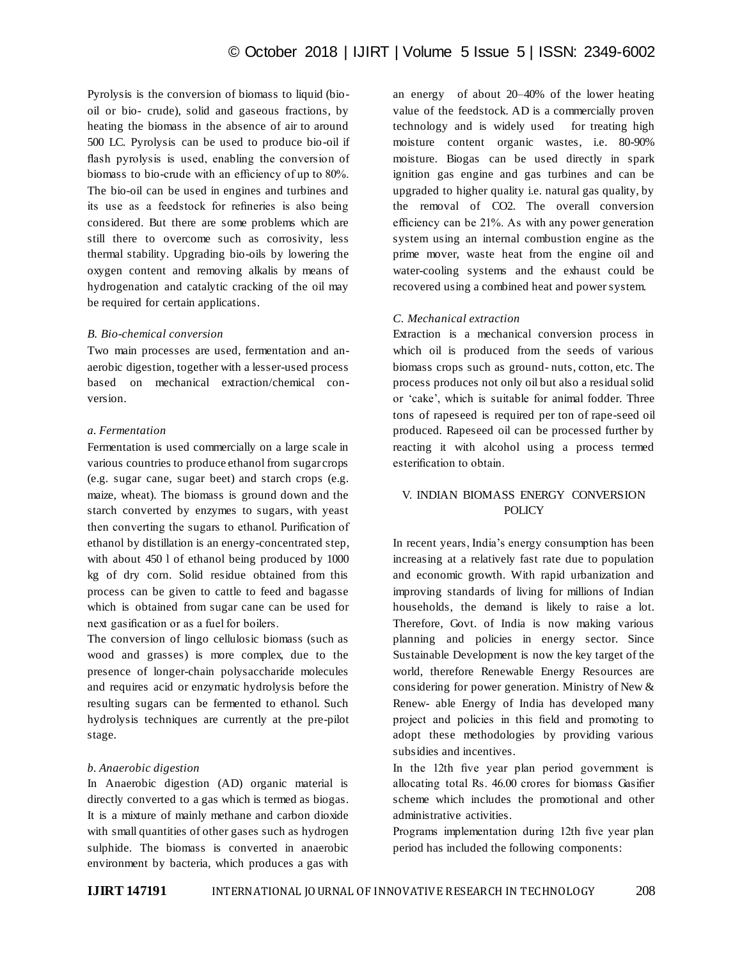Pyrolysis is the conversion of biomass to liquid (biooil or bio- crude), solid and gaseous fractions, by heating the biomass in the absence of air to around 500 LC. Pyrolysis can be used to produce bio-oil if flash pyrolysis is used, enabling the conversion of biomass to bio-crude with an efficiency of up to 80%. The bio-oil can be used in engines and turbines and its use as a feedstock for refineries is also being considered. But there are some problems which are still there to overcome such as corrosivity, less thermal stability. Upgrading bio-oils by lowering the oxygen content and removing alkalis by means of hydrogenation and catalytic cracking of the oil may be required for certain applications.

#### *B. Bio-chemical conversion*

Two main processes are used, fermentation and anaerobic digestion, together with a lesser-used process based on mechanical extraction/chemical conversion.

#### *a. Fermentation*

Fermentation is used commercially on a large scale in various countries to produce ethanol from sugar crops (e.g. sugar cane, sugar beet) and starch crops (e.g. maize, wheat). The biomass is ground down and the starch converted by enzymes to sugars, with yeast then converting the sugars to ethanol. Purification of ethanol by distillation is an energy-concentrated step, with about 450 l of ethanol being produced by 1000 kg of dry corn. Solid residue obtained from this process can be given to cattle to feed and bagasse which is obtained from sugar cane can be used for next gasification or as a fuel for boilers.

The conversion of lingo cellulosic biomass (such as wood and grasses) is more complex, due to the presence of longer-chain polysaccharide molecules and requires acid or enzymatic hydrolysis before the resulting sugars can be fermented to ethanol. Such hydrolysis techniques are currently at the pre-pilot stage.

## *b. Anaerobic digestion*

In Anaerobic digestion (AD) organic material is directly converted to a gas which is termed as biogas. It is a mixture of mainly methane and carbon dioxide with small quantities of other gases such as hydrogen sulphide. The biomass is converted in anaerobic environment by bacteria, which produces a gas with

an energy of about 20–40% of the lower heating value of the feedstock. AD is a commercially proven technology and is widely used for treating high moisture content organic wastes, i.e. 80-90% moisture. Biogas can be used directly in spark ignition gas engine and gas turbines and can be upgraded to higher quality i.e. natural gas quality, by the removal of CO2. The overall conversion efficiency can be 21%. As with any power generation system using an internal combustion engine as the prime mover, waste heat from the engine oil and water-cooling systems and the exhaust could be recovered using a combined heat and power system.

## *C. Mechanical extraction*

Extraction is a mechanical conversion process in which oil is produced from the seeds of various biomass crops such as ground- nuts, cotton, etc. The process produces not only oil but also a residual solid or 'cake', which is suitable for animal fodder. Three tons of rapeseed is required per ton of rape-seed oil produced. Rapeseed oil can be processed further by reacting it with alcohol using a process termed esterification to obtain.

# V. INDIAN BIOMASS ENERGY CONVERSION POLICY

In recent years, India's energy consumption has been increasing at a relatively fast rate due to population and economic growth. With rapid urbanization and improving standards of living for millions of Indian households, the demand is likely to raise a lot. Therefore, Govt. of India is now making various planning and policies in energy sector. Since Sustainable Development is now the key target of the world, therefore Renewable Energy Resources are considering for power generation. Ministry of New & Renew- able Energy of India has developed many project and policies in this field and promoting to adopt these methodologies by providing various subsidies and incentives.

In the 12th five year plan period government is allocating total Rs. 46.00 crores for biomass Gasifier scheme which includes the promotional and other administrative activities.

Programs implementation during 12th five year plan period has included the following components: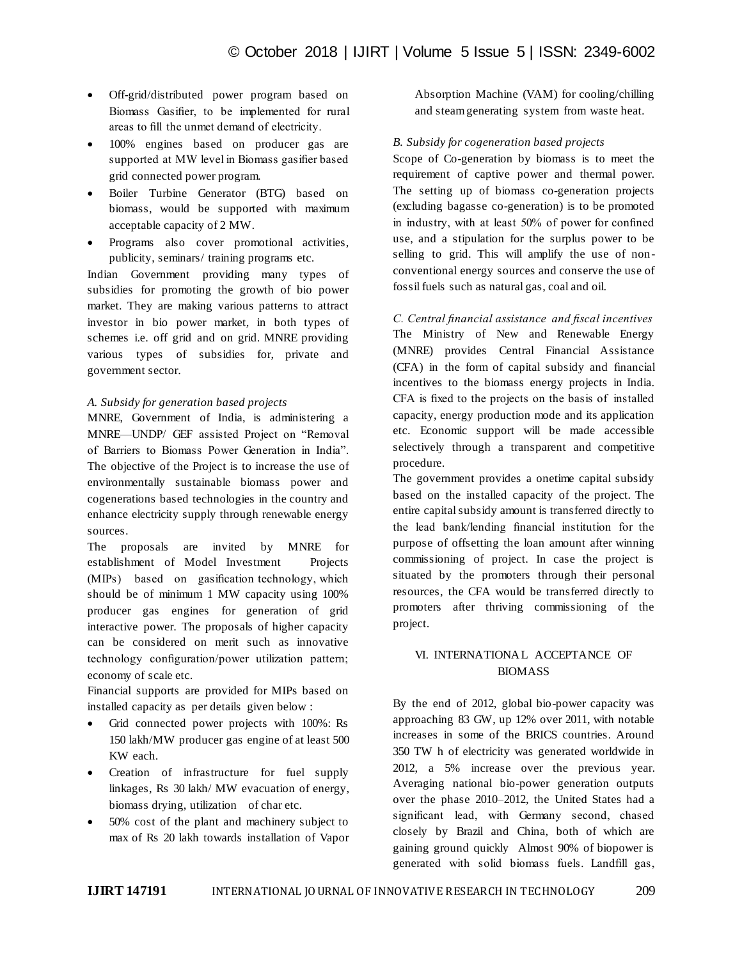- Off-grid/distributed power program based on Biomass Gasifier, to be implemented for rural areas to fill the unmet demand of electricity.
- 100% engines based on producer gas are supported at MW level in Biomass gasifier based grid connected power program.
- Boiler Turbine Generator (BTG) based on biomass, would be supported with maximum acceptable capacity of 2 MW.
- Programs also cover promotional activities, publicity, seminars/ training programs etc.

Indian Government providing many types of subsidies for promoting the growth of bio power market. They are making various patterns to attract investor in bio power market, in both types of schemes i.e. off grid and on grid. MNRE providing various types of subsidies for, private and government sector.

#### *A. Subsidy for generation based projects*

MNRE, Government of India, is administering a MNRE—UNDP/ GEF assisted Project on "Removal of Barriers to Biomass Power Generation in India". The objective of the Project is to increase the use of environmentally sustainable biomass power and cogenerations based technologies in the country and enhance electricity supply through renewable energy sources.

The proposals are invited by MNRE for establishment of Model Investment Projects (MIPs) based on gasification technology, which should be of minimum 1 MW capacity using 100% producer gas engines for generation of grid interactive power. The proposals of higher capacity can be considered on merit such as innovative technology configuration/power utilization pattern; economy of scale etc.

Financial supports are provided for MIPs based on installed capacity as per details given below :

- Grid connected power projects with 100%: Rs 150 lakh/MW producer gas engine of at least 500 KW each.
- Creation of infrastructure for fuel supply linkages, Rs 30 lakh/ MW evacuation of energy, biomass drying, utilization of char etc.
- 50% cost of the plant and machinery subject to max of Rs 20 lakh towards installation of Vapor

Absorption Machine (VAM) for cooling/chilling and steam generating system from waste heat.

#### *B. Subsidy for cogeneration based projects*

Scope of Co-generation by biomass is to meet the requirement of captive power and thermal power. The setting up of biomass co-generation projects (excluding bagasse co-generation) is to be promoted in industry, with at least 50% of power for confined use, and a stipulation for the surplus power to be selling to grid. This will amplify the use of nonconventional energy sources and conserve the use of fossil fuels such as natural gas, coal and oil.

*C. Central financial assistance and fiscal incentives* The Ministry of New and Renewable Energy (MNRE) provides Central Financial Assistance (CFA) in the form of capital subsidy and financial incentives to the biomass energy projects in India. CFA is fixed to the projects on the basis of installed capacity, energy production mode and its application etc. Economic support will be made accessible selectively through a transparent and competitive procedure.

The government provides a onetime capital subsidy based on the installed capacity of the project. The entire capital subsidy amount is transferred directly to the lead bank/lending financial institution for the purpose of offsetting the loan amount after winning commissioning of project. In case the project is situated by the promoters through their personal resources, the CFA would be transferred directly to promoters after thriving commissioning of the project.

# VI. INTERNATIONAL ACCEPTANCE OF BIOMASS

By the end of 2012, global bio-power capacity was approaching 83 GW, up 12% over 2011, with notable increases in some of the BRICS countries. Around 350 TW h of electricity was generated worldwide in 2012, a 5% increase over the previous year. Averaging national bio-power generation outputs over the phase 2010–2012, the United States had a significant lead, with Germany second, chased closely by Brazil and China, both of which are gaining ground quickly Almost 90% of biopower is generated with solid biomass fuels. Landfill gas,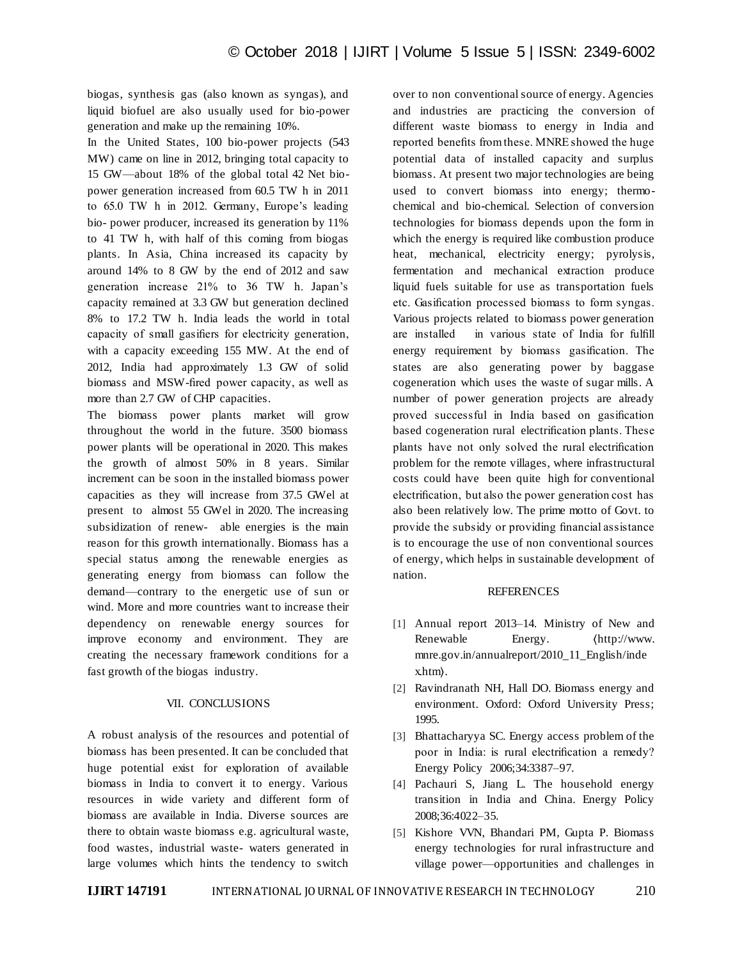biogas, synthesis gas (also known as syngas), and liquid biofuel are also usually used for bio-power generation and make up the remaining 10%.

In the United States, 100 bio-power projects (543 MW) came on line in 2012, bringing total capacity to 15 GW—about 18% of the global total 42 Net biopower generation increased from 60.5 TW h in 2011 to 65.0 TW h in 2012. Germany, Europe's leading bio- power producer, increased its generation by 11% to 41 TW h, with half of this coming from biogas plants. In Asia, China increased its capacity by around 14% to 8 GW by the end of 2012 and saw generation increase 21% to 36 TW h. Japan's capacity remained at 3.3 GW but generation declined 8% to 17.2 TW h. India leads the world in total capacity of small gasifiers for electricity generation, with a capacity exceeding 155 MW. At the end of 2012, India had approximately 1.3 GW of solid biomass and MSW-fired power capacity, as well as more than 2.7 GW of CHP capacities.

The biomass power plants market will grow throughout the world in the future. 3500 biomass power plants will be operational in 2020. This makes the growth of almost 50% in 8 years. Similar increment can be soon in the installed biomass power capacities as they will increase from 37.5 GWel at present to almost 55 GWel in 2020. The increasing subsidization of renew- able energies is the main reason for this growth internationally. Biomass has a special status among the renewable energies as generating energy from biomass can follow the demand—contrary to the energetic use of sun or wind. More and more countries want to increase their dependency on renewable energy sources for improve economy and environment. They are creating the necessary framework conditions for a fast growth of the biogas industry.

#### VII. CONCLUSIONS

A robust analysis of the resources and potential of biomass has been presented. It can be concluded that huge potential exist for exploration of available biomass in India to convert it to energy. Various resources in wide variety and different form of biomass are available in India. Diverse sources are there to obtain waste biomass e.g. agricultural waste, food wastes, industrial waste- waters generated in large volumes which hints the tendency to switch

over to non conventional source of energy. Agencies and industries are practicing the conversion of different waste biomass to energy in India and reported benefits from these. MNRE showed the huge potential data of installed capacity and surplus biomass. At present two major technologies are being used to convert biomass into energy; thermochemical and bio-chemical. Selection of conversion technologies for biomass depends upon the form in which the energy is required like combustion produce heat, mechanical, electricity energy; pyrolysis, fermentation and mechanical extraction produce liquid fuels suitable for use as transportation fuels etc. Gasification processed biomass to form syngas. Various projects related to biomass power generation are installed in various state of India for fulfill energy requirement by biomass gasification. The states are also generating power by baggase cogeneration which uses the waste of sugar mills. A number of power generation projects are already proved successful in India based on gasification based cogeneration rural electrification plants. These plants have not only solved the rural electrification problem for the remote villages, where infrastructural costs could have been quite high for conventional electrification, but also the power generation cost has also been relatively low. The prime motto of Govt. to provide the subsidy or providing financial assistance is to encourage the use of non conventional sources of energy, which helps in sustainable development of nation.

#### REFERENCES

- [1] Annual report 2013–14. Ministry of New and Renewable Energy.  $\langle \text{http://www.} \rangle$ mnre.gov.in/annualreport/2010\_11\_English/inde x.htm〉.
- [2] Ravindranath NH, Hall DO. Biomass energy and environment. Oxford: Oxford University Press; 1995.
- [3] Bhattacharyya SC. Energy access problem of the poor in India: is rural electrification a remedy? Energy Policy 2006;34:3387–97.
- [4] Pachauri S, Jiang L. The household energy transition in India and China. Energy Policy 2008;36:4022–35.
- [5] Kishore VVN, Bhandari PM, Gupta P. Biomass energy technologies for rural infrastructure and village power—opportunities and challenges in